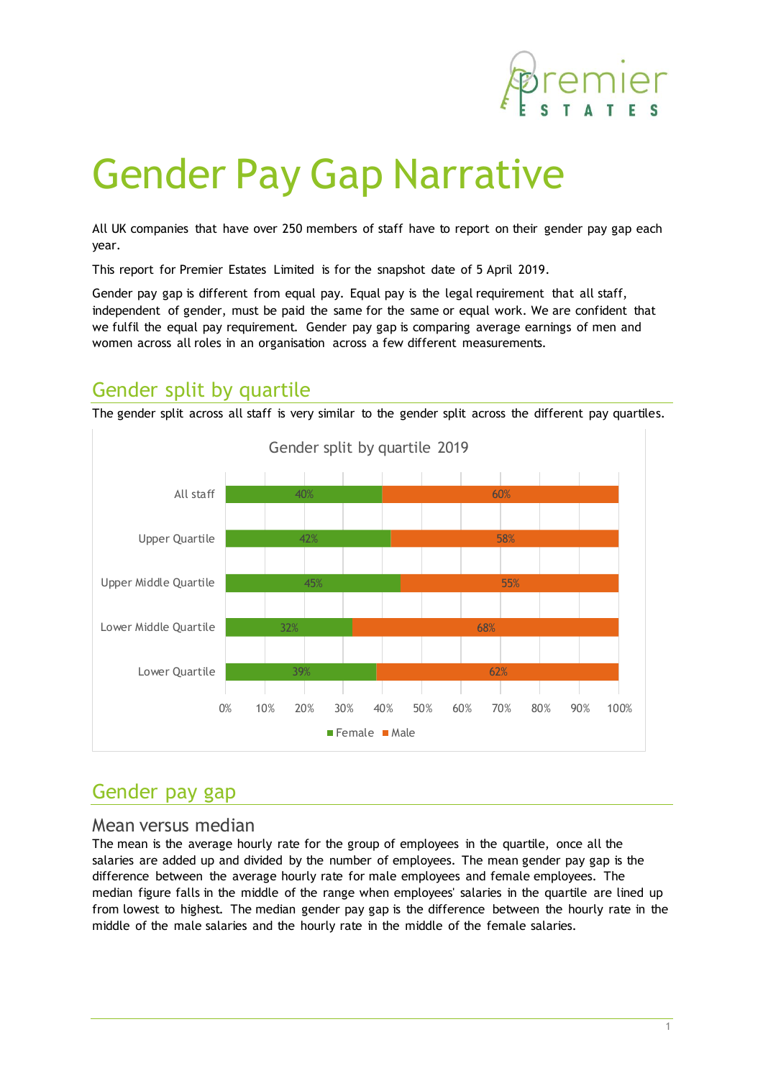

# Gender Pay Gap Narrative

All UK companies that have over 250 members of staff have to report on their gender pay gap each year.

This report for Premier Estates Limited is for the snapshot date of 5 April 2019.

Gender pay gap is different from equal pay. Equal pay is the legal requirement that all staff, independent of gender, must be paid the same for the same or equal work. We are confident that we fulfil the equal pay requirement. Gender pay gap is comparing average earnings of men and women across all roles in an organisation across a few different measurements.

## Gender split by quartile

The gender split across all staff is very similar to the gender split across the different pay quartiles.



## Gender pay gap

#### Mean versus median

The mean is the average hourly rate for the group of employees in the quartile, once all the salaries are added up and divided by the number of employees. The mean gender pay gap is the difference between the average hourly rate for male employees and female employees. The median figure falls in the middle of the range when employees' salaries in the quartile are lined up from lowest to highest. The median gender pay gap is the difference between the hourly rate in the middle of the male salaries and the hourly rate in the middle of the female salaries.